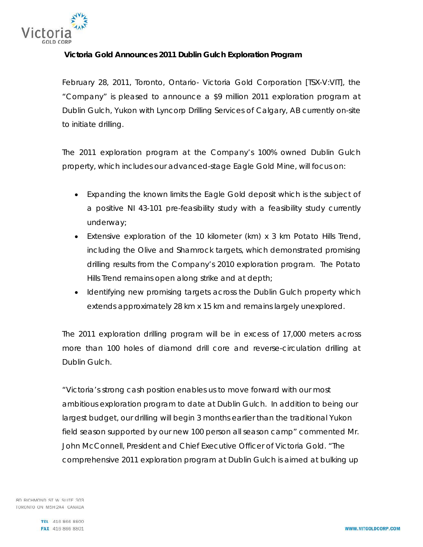

## **Victoria Gold Announces 2011 Dublin Gulch Exploration Program**

*February 28, 2011*, *Toronto, Ontario-* Victoria Gold Corporation [TSX-V:VIT], the "Company" is pleased to announce a \$9 million 2011 exploration program at Dublin Gulch, Yukon with Lyncorp Drilling Services of Calgary, AB currently on-site to initiate drilling.

The 2011 exploration program at the Company's 100% owned Dublin Gulch property, which includes our advanced-stage Eagle Gold Mine, will focus on:

- Expanding the known limits the Eagle Gold deposit which is the subject of a positive NI 43-101 pre-feasibility study with a feasibility study currently underway;
- Extensive exploration of the 10 kilometer (km) x 3 km Potato Hills Trend, including the Olive and Shamrock targets, which demonstrated promising drilling results from the Company's 2010 exploration program. The Potato Hills Trend remains open along strike and at depth;
- Identifying new promising targets across the Dublin Gulch property which extends approximately 28 km x 15 km and remains largely unexplored.

The 2011 exploration drilling program will be in excess of 17,000 meters across more than 100 holes of diamond drill core and reverse-circulation drilling at Dublin Gulch.

"Victoria's strong cash position enables us to move forward with our most ambitious exploration program to date at Dublin Gulch. In addition to being our largest budget, our drilling will begin 3 months earlier than the traditional Yukon field season supported by our new 100 person all season camp" commented Mr. John McConnell, President and Chief Executive Officer of Victoria Gold. "The comprehensive 2011 exploration program at Dublin Gulch is aimed at bulking up

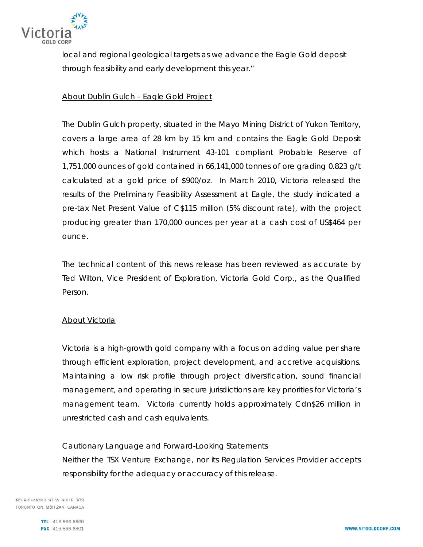

local and regional geological targets as we advance the Eagle Gold deposit through feasibility and early development this year."

## About Dublin Gulch – Eagle Gold Project

The Dublin Gulch property, situated in the Mayo Mining District of Yukon Territory, covers a large area of 28 km by 15 km and contains the Eagle Gold Deposit which hosts a National Instrument 43-101 compliant Probable Reserve of 1,751,000 ounces of gold contained in 66,141,000 tonnes of ore grading 0.823 g/t calculated at a gold price of \$900/oz. In March 2010, Victoria released the results of the Preliminary Feasibility Assessment at Eagle, the study indicated a pre-tax Net Present Value of C\$115 million (5% discount rate), with the project producing greater than 170,000 ounces per year at a cash cost of US\$464 per ounce.

The technical content of this news release has been reviewed as accurate by Ted Wilton, Vice President of Exploration, Victoria Gold Corp., as the Qualified Person.

## About Victoria

Victoria is a high-growth gold company with a focus on adding value per share through efficient exploration, project development, and accretive acquisitions. Maintaining a low risk profile through project diversification, sound financial management, and operating in secure jurisdictions are key priorities for Victoria's management team. Victoria currently holds approximately Cdn\$26 million in unrestricted cash and cash equivalents.

*Cautionary Language and Forward-Looking Statements Neither the TSX Venture Exchange, nor its Regulation Services Provider accepts responsibility for the adequacy or accuracy of this release.* 

80 RICHMOND ST W SUITE 303 TORONTO ON M5H 2A4 CANADA

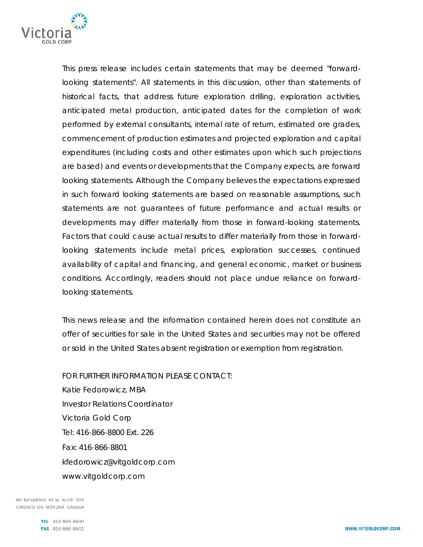

*This press release includes certain statements that may be deemed "forwardlooking statements". All statements in this discussion, other than statements of historical facts, that address future exploration drilling, exploration activities, anticipated metal production, anticipated dates for the completion of work performed by external consultants, internal rate of return, estimated ore grades, commencement of production estimates and projected exploration and capital expenditures (including costs and other estimates upon which such projections are based) and events or developments that the Company expects, are forward looking statements. Although the Company believes the expectations expressed in such forward looking statements are based on reasonable assumptions, such statements are not guarantees of future performance and actual results or developments may differ materially from those in forward-looking statements. Factors that could cause actual results to differ materially from those in forwardlooking statements include metal prices, exploration successes, continued availability of capital and financing, and general economic, market or business conditions. Accordingly, readers should not place undue reliance on forwardlooking statements.* 

This news release and the information contained herein does not constitute an offer of securities for sale in the United States and securities may not be offered or sold in the United States absent registration or exemption from registration.

FOR FURTHER INFORMATION PLEASE CONTACT:

*Katie Fedorowicz, MBA Investor Relations Coordinator*  Victoria Gold Corp Tel: 416-866-8800 Ext. 226 Fax: 416-866-8801 kfedorowicz@vitgoldcorp.com www.vitgoldcorp.com

80 RICHMOND ST W SUITE 303 TORONTO ON M5H 2A4 CANADA